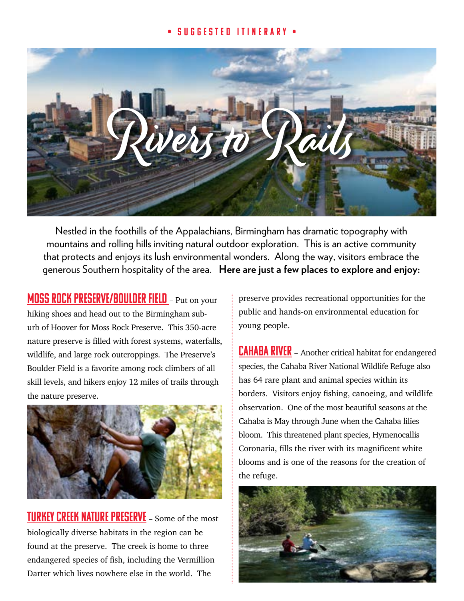## • Suggested Itinerary •



Nestled in the foothills of the Appalachians, Birmingham has dramatic topography with mountains and rolling hills inviting natural outdoor exploration. This is an active community that protects and enjoys its lush environmental wonders. Along the way, visitors embrace the generous Southern hospitality of the area. **Here are just a few places to explore and enjoy:**

[Moss Rock Preserve/Boulder Field](http://www.hooveral.org/214/Moss-Rock-Preserve) – Put on your hiking shoes and head out to the Birmingham suburb of Hoover for Moss Rock Preserve. This 350-acre nature preserve is filled with forest systems, waterfalls, wildlife, and large rock outcroppings. The Preserve's Boulder Field is a favorite among rock climbers of all skill levels, and hikers enjoy 12 miles of trails through the nature preserve.



**TURKEY CREEK NATURE PRESERVE** – Some of the most biologically diverse habitats in the region can be found at the preserve. The creek is home to three endangered species of fish, including the Vermillion Darter which lives nowhere else in the world. The

preserve provides recreational opportunities for the public and hands-on environmental education for young people.

**CAHABA RIVER** – Another critical habitat for endangered species, the Cahaba River National Wildlife Refuge also has 64 rare plant and animal species within its borders. Visitors enjoy fishing, canoeing, and wildlife observation. One of the most beautiful seasons at the Cahaba is May through June when the Cahaba lilies bloom. This threatened plant species, Hymenocallis Coronaria, fills the river with its magnificent white blooms and is one of the reasons for the creation of the refuge.